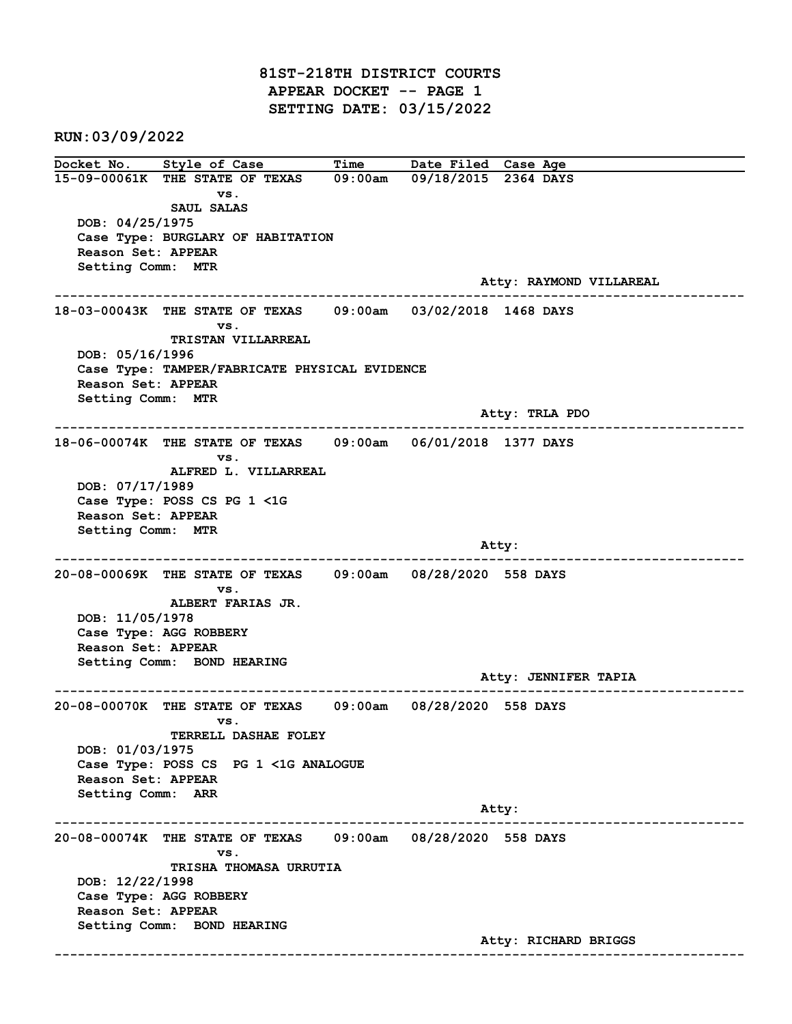81ST-218TH DISTRICT COURTS APPEAR DOCKET -- PAGE 1 SETTING DATE: 03/15/2022

RUN:03/09/2022

Docket No. Style of Case Time Date Filed Case Age 15-09-00061K THE STATE OF TEXAS 09:00am 09/18/2015 2364 DAYS vs. SAUL SALAS DOB: 04/25/1975 Case Type: BURGLARY OF HABITATION Reason Set: APPEAR Setting Comm: MTR Atty: RAYMOND VILLAREAL ------------------------------------------------------------------------------------------------------------------------ 18-03-00043K THE STATE OF TEXAS 09:00am 03/02/2018 1468 DAYS vs. TRISTAN VILLARREAL DOB: 05/16/1996 Case Type: TAMPER/FABRICATE PHYSICAL EVIDENCE Reason Set: APPEAR Setting Comm: MTR Atty: TRLA PDO ------------------------------------------------------------------------------------------------------------------------ 18-06-00074K THE STATE OF TEXAS 09:00am 06/01/2018 1377 DAYS vs. ALFRED L. VILLARREAL DOB: 07/17/1989 Case Type: POSS CS PG 1 <1G Reason Set: APPEAR Setting Comm: MTR and the control of the control of the control of the control of the control of the control of the control of the control of the control of the control of the control of the control of the control of the control of the cont ------------------------------------------------------------------------------------------------------------------------ 20-08-00069K THE STATE OF TEXAS 09:00am 08/28/2020 558 DAYS vs. ALBERT FARIAS JR. DOB: 11/05/1978 Case Type: AGG ROBBERY Reason Set: APPEAR Setting Comm: BOND HEARING Atty: JENNIFER TAPIA ------------------------------------------------------------------------------------------------------------------------ 20-08-00070K THE STATE OF TEXAS 09:00am 08/28/2020 558 DAYS vs. TERRELL DASHAE FOLEY DOB: 01/03/1975 Case Type: POSS CS PG 1 <1G ANALOGUE Reason Set: APPEAR Setting Comm: ARR example of the contract of the contract of the contract of the contract of the contract of the contract of the contract of the contract of the contract of the contract of the contract of the contract of the contract of the ------------------------------------------------------------------------------------------------------------------------ 20-08-00074K THE STATE OF TEXAS 09:00am 08/28/2020 558 DAYS vs. TRISHA THOMASA URRUTIA DOB: 12/22/1998 Case Type: AGG ROBBERY Reason Set: APPEAR Setting Comm: BOND HEARING Atty: RICHARD BRIGGS ------------------------------------------------------------------------------------------------------------------------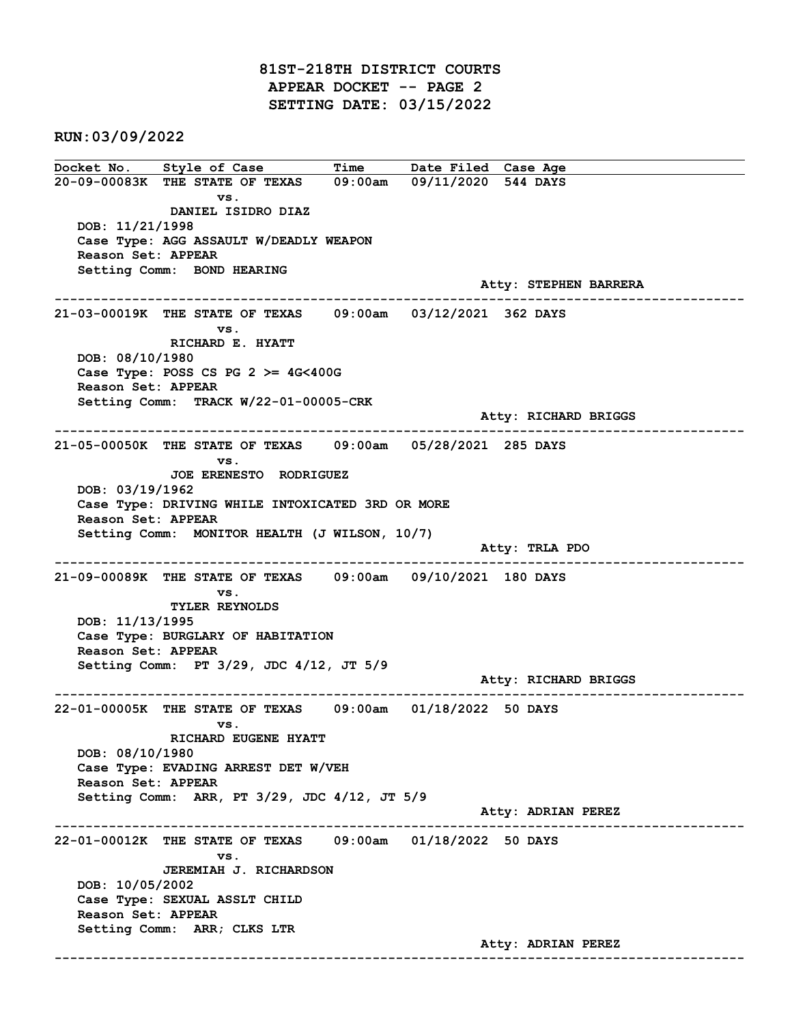81ST-218TH DISTRICT COURTS APPEAR DOCKET -- PAGE 2 SETTING DATE: 03/15/2022

RUN:03/09/2022

Docket No. Style of Case Time Date Filed Case Age 20-09-00083K THE STATE OF TEXAS 09:00am 09/11/2020 544 DAYS vs. DANIEL ISIDRO DIAZ DOB: 11/21/1998 Case Type: AGG ASSAULT W/DEADLY WEAPON Reason Set: APPEAR Setting Comm: BOND HEARING Atty: STEPHEN BARRERA ------------------------------------------------------------------------------------------------------------------------ 21-03-00019K THE STATE OF TEXAS 09:00am 03/12/2021 362 DAYS vs. RICHARD E. HYATT DOB: 08/10/1980 Case Type: POSS CS PG  $2 \geq 4$ G<400G Reason Set: APPEAR Setting Comm: TRACK W/22-01-00005-CRK Atty: RICHARD BRIGGS ------------------------------------------------------------------------------------------------------------------------ 21-05-00050K THE STATE OF TEXAS 09:00am 05/28/2021 285 DAYS vs. JOE ERENESTO RODRIGUEZ DOB: 03/19/1962 Case Type: DRIVING WHILE INTOXICATED 3RD OR MORE Reason Set: APPEAR Setting Comm: MONITOR HEALTH (J WILSON, 10/7) Atty: TRLA PDO ------------------------------------------------------------------------------------------------------------------------ 21-09-00089K THE STATE OF TEXAS 09:00am 09/10/2021 180 DAYS vs. TYLER REYNOLDS DOB: 11/13/1995 Case Type: BURGLARY OF HABITATION Reason Set: APPEAR Setting Comm: PT 3/29, JDC 4/12, JT 5/9 Atty: RICHARD BRIGGS ------------------------------------------------------------------------------------------------------------------------ 22-01-00005K THE STATE OF TEXAS 09:00am 01/18/2022 50 DAYS vs. RICHARD EUGENE HYATT DOB: 08/10/1980 Case Type: EVADING ARREST DET W/VEH Reason Set: APPEAR Setting Comm: ARR, PT 3/29, JDC 4/12, JT 5/9 Atty: ADRIAN PEREZ ------------------------------------------------------------------------------------------------------------------------ 22-01-00012K THE STATE OF TEXAS 09:00am 01/18/2022 50 DAYS vs. JEREMIAH J. RICHARDSON DOB: 10/05/2002 Case Type: SEXUAL ASSLT CHILD Reason Set: APPEAR Setting Comm: ARR; CLKS LTR Atty: ADRIAN PEREZ ------------------------------------------------------------------------------------------------------------------------